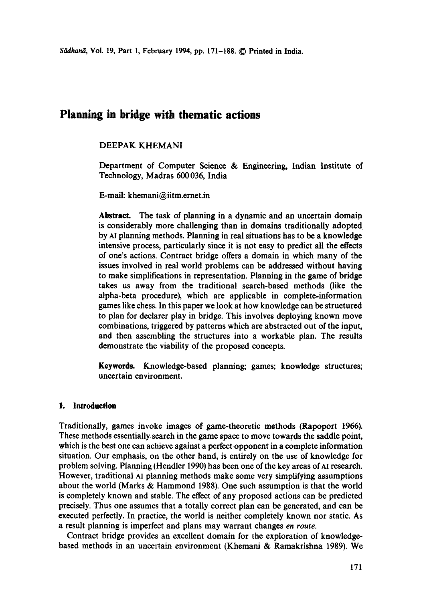Sādhanā, Vol. 19, Part 1, February 1994, pp. 171-188. © Printed in India.

# **Planning in bridge with thematic actions**

# DEEPAK KHEMANI

Department of Computer Science & Engineering, Indian Institute of Technology, Madras 600036, India

E-mail: khemani@iitm.ernet.in

Abstract. The task of planning in a dynamic and an uncertain domain is considerably more challenging than in domains traditionally adopted by AI planning methods. Planning in real situations has to be a knowledge intensive process, particularly since it is not easy to predict all the effects of one's actions. Contract bridge offers a domain in which many of the issues involved in real world problems can be addressed without having to make simplifications in representation. Planning in the game of bridge takes us away from the traditional search-based methods (like the alpha-beta procedure), which are applicable in complete-information games like chess. In this paper we look at how knowledge can be structured to plan for declarer play in bridge. This involves deploying known move combinations, triggered by patterns which are abstracted out of the input, and then assembling the structures into a workable plan. The results demonstrate the viability of the proposed concepts.

**Keywords.** Knowledge-based planning; games; knowledge structures; uncertain environment.

#### **1. Introduction**

Traditionally, games invoke images of game-theoretic methods (Rapoport t966). These methods essentially search in the game space to move towards the saddle point, which is the best one can achieve against a perfect opponent in a complete information situation. Our emphasis, on the other hand, is entirely on the use of knowledge for problem solving. Planning (Hendler 1990) has been one of the key areas of AI research. However, traditional A1 planning methods make some very simplifying assumptions about the world (Marks & Hammond 1988). One such assumption is that the world is completely known and stable. The effect of any proposed actions can be predicted precisely. Thus one assumes that a totally correct plan can be generated, and can be executed perfectly. In practice, the world is neither completely known nor static. As a result planning is imperfect and plans may warrant changes *en route.* 

Contract bridge provides an excellent domain for the exploration of knowledgebased methods in an uncertain environment (Khemani & Ramakrishna 1989). We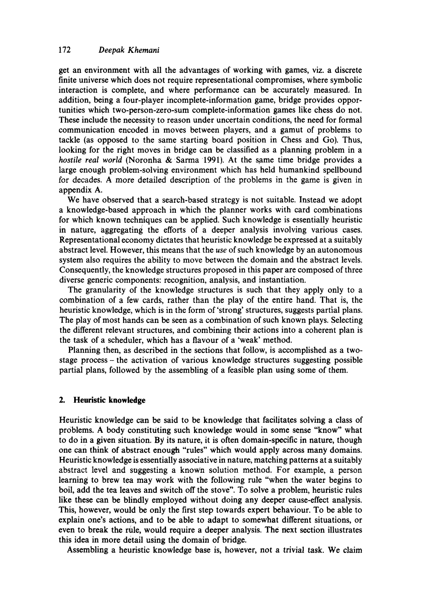get an environment with all the advantages of working with games, viz. a discrete finite universe which does not require representational compromises, where symbolic interaction is complete, and where performance can be accurately measured, In addition, being a four-player incomplete-information game, bridge provides opportunities which two-person-zero-sum complete-information games like chess do not. These include the necessity to reason under uncertain conditions, the need for formal communication encoded in moves between players, and a gamut of problems to tackle (as opposed to the same starting board position in Chess and Go). Thus, looking for the right moves in bridge can be classified as a planning problem in a *hostile real world* (Noronha & Sarma 1991). At the same time bridge provides a large enough problem-solving environment which has held humankind spellbound for decades. A more detailed description of the problems in the game is given in appendix A.

We have observed that a search-based strategy is not suitable. Instead we adopt a knowledge-based approach in which the planner works with card combinations for which known techniques can be applied. Such knowledge is essentially heuristic in nature, aggregating the efforts of a deeper analysis involving various cases. Representational economy dictates that heuristic knowledge be expressed at a suitably abstract level. However, this means that the *use* of such knowledge by an autonomous system also requires the ability to move between the domain and the abstract levels. Consequently, the knowledge structures proposed in this paper are composed of three diverse generic components: recognition, analysis, and instantiation.

The granularity of the knowledge structures is such that they apply only to a combination of a few cards, rather than the play of the entire hand. That is, the heuristic knowledge, which is in the form of 'strong' structures, suggests partial plans. The play of most hands can be seen as a combination of such known plays. Selecting the different relevant structures, and combining their actions into a coherent plan is the task of a scheduler, which has a flavour of a 'weak' method.

Planning then, as described in the sections that follow, is accomplished as a twostage process- the activation of various knowledge structures suggesting possible partial plans, followed by the assembling of a feasible plan using some of them.

### **2. Heuristic knowledge**

Heuristic knowledge can be said to be knowledge that facilitates solving a class of problems. A body constituting such knowledge would in some sense "know" what to do in a given situation. By its nature, it is often domain-specific in nature, though one can think of abstract enough "rules" which would apply across many domains. Heuristic knowledge is essentially associative in nature, matching patterns at a suitably abstract level and suggesting a known solution method. For example, a person learning to brew tea may work with the following rule "when the water begins to boil, add the tea leaves and switch off the stove". To solve a problem, heuristic rules like these can be blindly employed without doing any deeper cause-effect analysis. This, however, would be only the first step towards expert behaviour. To be able to explain one's actions, and to be able to adapt to somewhat different situations, or even to break the rule, would require a deeper analysis. The next section illustrates this idea in more detail using the domain of bridge.

Assembling a heuristic knowledge base is, however, not a trivial task. We claim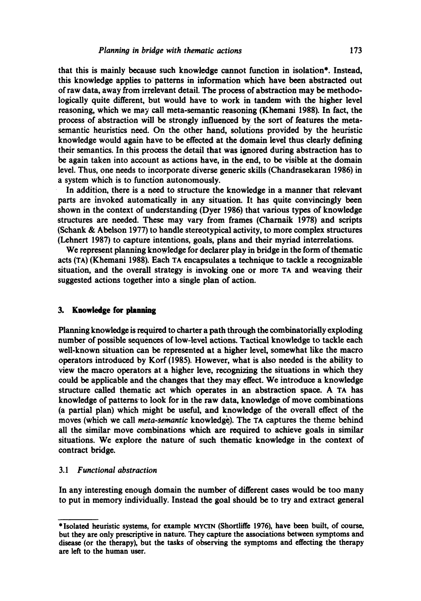that this is mainly because such knowledge cannot function in isolation\*. Instead, this knowledge applies to patterns in information which have been abstracted out of raw data, away from irrelevant detail. The process of abstraction may be methodologically quite different, but would have to work in tandem with the higher level reasoning, which we may call meta-semantic reasoning (Khemani 1988). In fact, the process of abstraction will be strongly influenced by the sort of features the metasemantic heuristics need. On the other hand, solutions provided by the heuristic knowledge would again have to be effected at the domain level thus clearly defining their semantics. In this process the detail that was ignored during abstraction has to be again taken into account as actions have, in the end, to be visible at the domain level. Thus, one needs to incorporate diverse generic skills (Chandrasekaran 1986) in a system which is to function autonomously.

In addition, there is a need to structure the knowledge in a manner that relevant parts are invoked automatically in any situation. It has quite convincingly been shown in the context of understanding (Dyer 1986) that various types of knowledge structures are needed. These may vary from frames (Charnaik 1978) and scripts (Schank & Abelson 1977) to handle stereotypical activity, to more complex structures (Lchnert 1987) to capture intentions, goals, plans and their myriad interrelations.

We represent planning knowledge for declarer play in bridge in the form of thematic acts (TA) (Khemani 1988). Each TA encapsulates a technique to tackle a recognizable situation, and the overall strategy is invoking one or more TA and weaving their suggested actions together into a single plan of action.

#### **3. Knowledge for planning**

Planning knowledge is required to charter a path through the combinatorially exploding number of possible sequences of low-level actions. Tactical knowledge to tackle each well-known situation can be represented at a higher level, somewhat like the macro operators introduced by Korf (1985). However, what is also needed is the ability to view the macro operators at a higher leve, recognizing the situations in which they could be applicable and the changes that they may effect. We introduce a knowledge structure called thematic act which operates in an abstraction space. A TA has knowledge of patterns' to look for in the raw data, knowledge of move combinations (a partial plan) which might be useful, and knowledge of the overall effect of the moves (which we call *meta-semantic* knowledge). The TA captures the theme behind all the similar move combinations which are required to achieve goals in similar situations. We explore the nature of such thematic knowledge in the context of contract bridge.

#### *3.1 Functional abstraction*

In any interesting enough domain the number of different cases would be too many to put in memory individually. Instead the goal should be to try and extract general

<sup>\*</sup>Isolated heuristic systems, for example MYCIN (Shortliffe 1976), have been built, of course, but they are only prescriptive in nature. They capture the associations between symptoms and disease (or the therapy), but the tasks of observing the symptoms and effecting the therapy are left to the human user.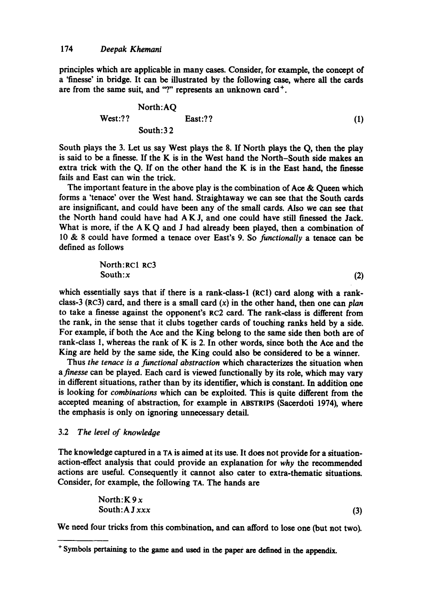principles which are applicable in many cases. Consider, for example, the concept of a 'finesse' in bridge. It can be illustrated by the following case, where all the cards are from the same suit, and "?" represents an unknown card<sup>+</sup>.

North:AQ West:? ? East:? ? (1) South: 3 2

South plays the 3. Let us say West plays the 8. If North plays the Q, then the play is said to be a finesse. If the K is in the West hand the North-South side makes an extra trick with the Q. If on the other hand the K is in the East hand, the finesse fails and East can win the trick.

The important feature in the above play is the combination of Ace & Queen which forms a 'tenace' over the West hand. Straightaway we can see that the South cards are insignificant, and could have been any of the small cards. Also we can see that the North hand could have had A K J, and one could have still finessed the Jack. What is more, if the A K Q and J had already been played, then a combination of 10 & 8 could have formed a tenace over East's 9. So *functionally* a tenace can be defined as follows

North:RC1 RC3

\nSouth: 
$$
x
$$

\n(2)

which essentially says that if there is a rank-class-1 (RC1) card along with a rankclass-3 (RC3) card, and there is a small card (x) in the other hand, then one can *plan*  to take a finesse against the opponent's RC2 card. The rank-class is different from the rank, in the sense that it clubs together cards of touching ranks held by a side. For example, if both the Ace and the King belong to the same side then both are of rank-class 1, whereas the rank of K is 2. In other words, since both the Ace and the King are held by the same side, the King could also be considered to be a winner.

Thus *the tenace is a functional abstraction* which characterizes the situation when *afinesse* can be played. Each card is viewed functionally by its role, which may vary in different situations, rather than by its identifier, which is constant. In addition one is looking for *combinations* which can be exploited. This is quite different from the accepted meaning of abstraction, for example in ABSTRIPS (Sacerdoti 1974), where the emphasis is only on ignoring unnecessary detail.

# 3.2 *The level of knowledge*

The knowledge captured in a TA is aimed at its use. It does not provide for a situationaction-effect analysis that could provide an explanation for why the recommended actions are useful. Consequently it cannot also cater to extra-thematic situations. Consider, for example, the following TA. The hands are

$$
North: K 9 x
$$
  
South: A J xxx (3)

We need four tricks from this combination, and can afford to lose one (but not two).

<sup>+</sup> Symbols pertaining to the game and used in the paper are defined in the appendix.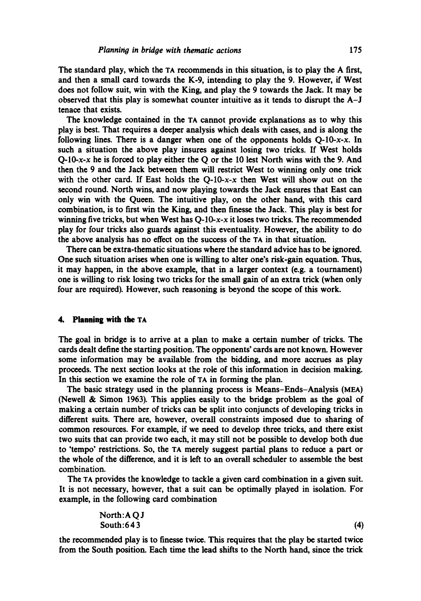The standard play, which the TA recommends in this situation, is to play the A first, and then a small card towards the K-9, intending to play the 9. However, if West does not follow suit, win with the King, and play the 9 towards the Jack. It may be observed that this play is somewhat counter intuitive as it tends to disrupt the A-J tenace that exists.

The knowledge contained in the TA cannot provide explanations as to why this play is best. That requires a deeper analysis which deals with cases, and is along the following lines. There is a danger when one of the opponents holds *Q-lO-x-x.* In such a situation the above play insures against losing two tricks. If West holds *Q-lO-x-x* he is forced to play either the Q or the 10 lest North wins with the 9. And then the 9 and the Jack between them will restrict West to winning only one trick with the other card. If East holds the *Q-lO-x-x* then West will show out on the second round. North wins, and now playing towards the Jack ensures that East can only win with the Queen. The intuitive play, on the other hand, with this card combination, is to first win the King, and then finesse the Jack. This play is best for winning five tricks, but when West has *Q-lO-x-x* it loses two tricks. The recommended play for four tricks also guards against this eventuality. However, the ability to do the above analysis has no effect on the success of the TA in that situation.

There can be extra-thematic situations where the standard advice has to be ignored. One such situation arises when one is willing to alter one's risk-gain equation. Thus, it may happen, in the above example, that in a larger context (e.g. a tournament) one is willing to risk losing two tricks for the small gain of an extra trick (when only four are required). However, such reasoning is beyond the scope of this work.

#### 4. Planning with **the TA**

The goal in bridge is to arrive at a plan to make a certain nUmber of tricks. The cards dealt define the starting position. The opponents' cards are not known. However some information may be available from the bidding, and more accrues as play proceeds. The next section looks at the role of this information in decision making. In this section we examine the role of TA in forming the plan.

The basic strategy used in the planning process is Means-Ends-Analysis (MEA) (Newell & Simon 1963). This applies easily to the bridge problem as the goal of making a certain number of tricks can be split into conjuncts of developing tricks in different suits. There are, however, overall constraints imposed due to sharing of common resources. For example, if we need to develop three tricks, and there exist two suits that can provide two each, it may still not be possible to develop both due to 'tempo" restrictions. So, the TA merely suggest partial plans to reduce a part or the whole of the difference, and it is left to an overall scheduler to assemble the best combination.

The TA provides the knowledge to tackle a given card combination in a given suit. It is not necessary, however, that a suit can be optimally played in isolation. For example, in the following card combination

$$
North: AQJSouth: 643
$$
 (4)

the recommended play is to finesse twice. This requires that the play be started twice from the South position. Each time the lead shifts to the North hand, since the trick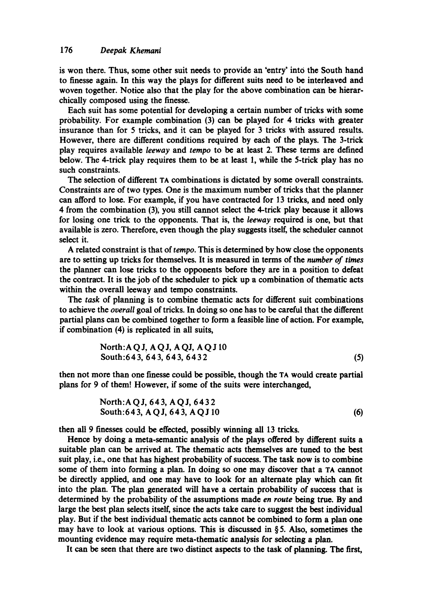# 176 *Deepak Khemani*

is won there. Thus, some other suit needs to provide an 'entry" into the South hand to finesse again. In this way the plays for different suits need to be interleaved and woven together. Notice also that the play for the above combination can be hierarchically composed using the finesse.

Each suit has some potential for developing a certain number of tricks with some probability. For example combination (3) can be played for 4 tricks with greater insurance than for 5 tricks, and it can be played for 3 tricks with assured results. However, there are different conditions required by each of the plays. The 3-trick play requires available *leeway* and *tempo* to be at least 2. These terms are defined below. The 4-trick play requires them to be at least 1, while the 5-trick play has no such constraints.

The selection of different TA combinations is dictated by some overall constraints. Constraints are of two types. One is the maximum number of tricks that the planner can afford to lose. For example, if you have contracted for 13 tricks, and need only 4 from the combination (3), you still cannot select the 4-trick play because it allows for losing one trick to the opponents. That is, the *leeway* required is one, but that available is zero. Therefore, even though the play suggests itself, the scheduler cannot select it.

A related constraint is that of *tempo.* This is determined by how close the opponents are to setting up tricks for themselves. It is measured in terms of the *number of times*  the planner can lose tricks to the opponents before they are in a position to defeat the contract. It is the job of the scheduler to pick up a combination of thematic acts within the overall leeway and tempo constraints.

The *task* of planning is to combine thematic acts for different suit combinations to achieve the *overall* goal of tricks. In doing so one has to be careful that the different partial plans can be combined together to form a feasible line of action. For example, if combination (4) is replicated in all suits,

North:A QJ, AQJ, AQJ, AQJ 10  
South:643, 643, 643, 6432 
$$
(5)
$$

then not more than one finesse could be possible, though the TA would create partial plans for 9 of them! However, if some of the suits were interchanged,

North:A QJ, 643, AQJ, 6432  
South:643, AQJ, 643, AQJ10 
$$
(6)
$$

then all 9 finesses could be effected, possibly winning all 13 tricks.

Hence by doing a meta-semantic analysis of the plays offered by different suits a suitable plan can be arrived at. The thematic acts themselves are tuned to the best suit play, i.e., one that has highest probability of success. The task now is to combine some of them into forming a plan. In doing so one may discover that a TA cannot be directly applied, and one may have to look for an alternate play which can fit into the plan. The plan generated will have a certain probability of success that is determined by the probability of the assumptions made *en route* being true. By and large the best plan selects itself, since the acts take care to suggest the best individual play. But if the best individual thematic acts cannot be combined to form a plan one may have to look at various options. This is discussed in § 5. Also, sometimes the mounting evidence may require meta-thematic analysis for selecting a plan.

It can be seen that there are two distinct aspects to the task of planning. The first,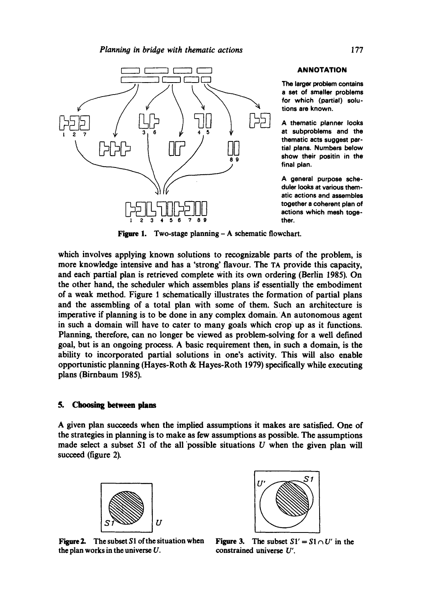#### *Planning in bridge with thematic actions* 177



**ANNOTATION** 

The large¢ problem contains **a set of** smaller problems for which (partial) solutions are known.

A thematic planner looks at subproblems and the thematic acts suggest partial plans. Numbers below show their positin in the final plan.

A general purpose scheduler looks at various thematic actions and assembles together a coherent plan of actions which mesh **together.** 

Figure 1. Two-stage planning - A schematic flowchart.

which involves applying known solutions to recognizable parts of the problem, is more knowledge intensive and has a 'strong' flavour. The TA provide this capacity, and each partial plan is retrieved complete With its own ordering (Berlin 1985). On the other hand, the scheduler which assembles plans is essentially the embodiment of a weak method. Figure I schematically illustrates the formation of partial plans and the assembling of a total plan with some of them. Such an architecture is imperative if planning is to be done in any complex domain. An autonomous agent in such a domain will have to cater to many goals which crop up as it functions. Planning, therefore, can no longer be viewed as problem-solving for a well defined goal, but is an ongoing process. A basic requirement then, in such a domain, is the ability to incorporated partial solutions in one's activity. This will also enable opportunistic planning (Hayes-Roth & Hayes-Roth 1979) specifically while executing plans (Birnbaum 1985).

#### **5.** Choosing between plans

A given plan succeeds when the implied assumptions it makes are satisfied. One of the strategies in planning is to make as few assumptions as possible. The assumptions made select a subset  $S1$  of the all possible situations U when the given plan will succeed (figure 2).



**Figure 2.** The subset  $S1$  of the situation when the plan works in the universe U.



Figure 3. The subset  $S1' = S1 \cap U'$  in the constrained universe U'.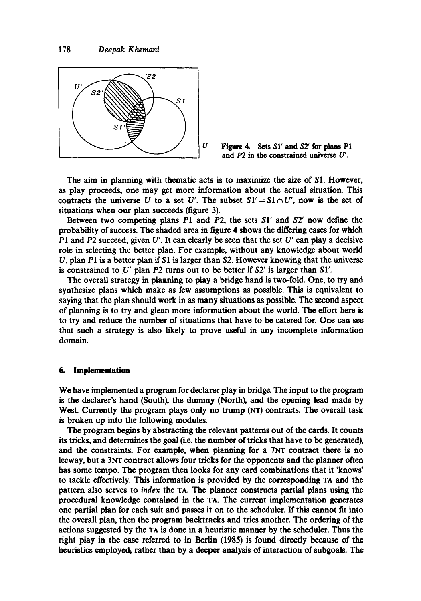

U Figure 4. Sets  $S1'$  and  $S2'$  for plans  $P1$ and P2 in the constrained universe *U'.* 

The aim in planning with thematic acts is to maximize the size of S1. However, as play proceeds, one may get more information about the actual situation. This contracts the universe U to a set U'. The subset  $S1' = S1 \cap U'$ , now is the set of situations when our plan succeeds (figure 3).

Between two competing plans  $P1$  and  $P2$ , the sets  $S1'$  and  $S2'$  now define the probability of success. The shaded area in figure 4 shows the differing cases for which P1 and P2 succeed, given  $U'$ . It can clearly be seen that the set  $U'$  can play a decisive role in selecting the better plan. For example, without any knowledge about world U, plan P1 is a better plan if  $S1$  is larger than  $S2$ . However knowing that the universe is constrained to U' plan P2 turns out to be better if *\$2'* is larger than SI'.

The overall strategy in planning to play a bridge hand is two-fold. One, to try and synthesize plans which make as few assumptions as possible. This is equivalent to saying that the plan should work in as many situations as possible. The second aspect of planning is to try and glean more information about the world. The effort here is to try and reduce the number of situations that have to be catered for. One can see that such a strategy is also likely to prove useful in any incomplete information domain.

#### **6. Implementation**

We have implemented a program for declarer play in bridge. The input to the program is the declarer's hand (South), the dummy (North), and the opening lead made by West. Currently the program plays only no trump (NT) contracts. The overall task is broken up into the following modules.

The program begins by abstracting the relevant patterns out of the cards. It counts its tricks, and determines the goal (i.e. the number of tricks that have to be generated), and the constraints. For example, when planning for a 7NT contract there is no leeway, but a 3NT contract allows four tricks for the opponents and the planner often has some tempo. The program then looks for any card combinations that it 'knows' to tackle effectively. This information is provided by the corresponding TA and the pattern also serves to *index* the TA. The planner constructs partial plans using the procedural knowledge contained in the TA. The current implementation generates one partial plan for each suit and passes it on to the scheduler. If this cannot fit into the overall plan, then the program backtracks and tries another. The ordering of the actions suggested by the TA is done in a heuristic manner by the scheduler. Thus the right play in the case referred to in Berlin (1985) is found directly because of the heuristics employed, rather than by a deeper analysis of interaction of subgoals. The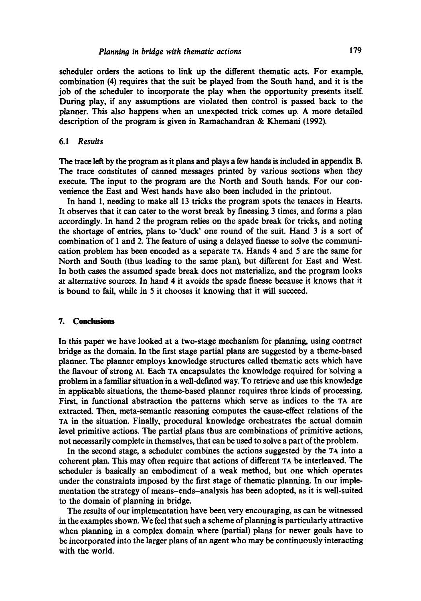scheduler orders the actions to link up the different thematic acts. For example, combination (4) requires that the suit be played from the South hand, and it is the job of the scheduler to incorporate the play when the opportunity presents itself. During play, if any assumptions are violated then control is passed back to the planner. This also happens when an unexpected trick comes up. A more detailed description of the program is given in Ramachandran & Khemani (1992).

#### 6.1 *Results*

The trace left by the program as it plans and plays a few hands is included in appendix B. The trace constitutes of canned messages printed by various sections when they execute. The input to the program are the North and South hands. For our convenience the East and West hands have also been included in the printout.

In hand 1, needing to make all 13 tricks the program spots the tenaces in Hearts. It observes that it can cater to the worst break by finessing 3 times, and forms a plan accordingly. In hand 2 the program relies on the spade break for tricks, and noting the shortage of entries, plans to. 'duck' one round of the suit. Hand 3 is a sort of combination of 1 and 2. The feature of using a delayed finesse to solve the communication problem has been encoded as a separate TA. Hands 4 and 5 are the same for North and South (thus leading to the same plan), but different for East and West. In both cases the assumed spade break does not materialize, and the program looks at alternative sources. In hand 4 it avoids the spade finesse because it knows that it is bound to fail, while in 5 it chooses it knowing that it will succeed.

#### **7. Conclusions**

In this paper we have looked at a two-stage mechanism for planning, using contract bridge as the domain. In the first stage partial plans are suggested by a theme-based planner. The planner employs knowledge structures called thematic acts which have the flavour of strong AI. Each TA encapsulates the knowledge required for solving a problem in a familiar situation in a well-defined way. To retrieve and use this knowledge in applicable situations, the theme-based planner requires three kinds of processing. First, in functional abstraction the patterns which serve as indices to the TA are extracted. Then, meta-semantic reasoning computes the cause-effect relations of the TA in the situation. Finally, procedural knowledge orchestrates the actual domain level primitive actions. The partial plans thus are combinations of primitive actions, not necessarily complete in themselves, that can be used to solve a part of the problem.

In the second stage, a scheduler combines the actions suggested by the TA into a coherent plan. This may often require that actions of different TA be interleaved. The scheduler is basically an embodiment of a weak method, but one which operates under the constraints imposed by the first stage of thematic planning. In our implementation the strategy of means-ends-analysis has been adopted, as it is well-suited to the domain of planning in bridge.

The results of our implementation have been very encouraging, as can be witnessed in the examples shown. We feel that such a scheme of planning is particularly attractive when planning in a complex domain where (partial) plans for newer goals have to be incorporated into the larger plans of an agent who may he continuously interacting with the world.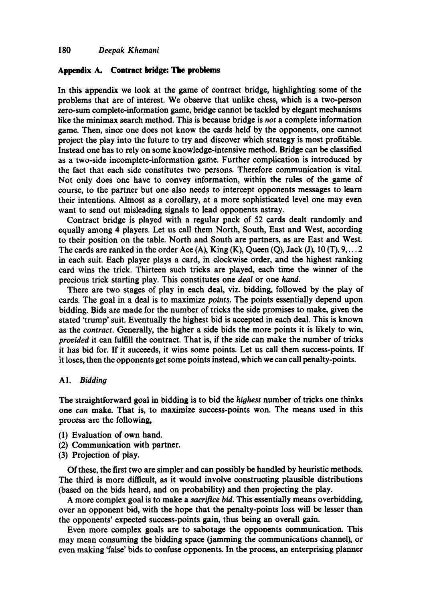## **Appendix A. Contract bridge: The problems**

In this appendix we look at the game of contract bridge, highlighting some of the problems that are of interest. We observe that unlike chess, which is a two-person zero-sum complete-information game, bridge cannot be tackled by elegant mechanisms like the minimax search method. This is because bridge is *not* a complete information game. Then, since one does not know the cards held' by the opponents, one cannot project the play into the future to try and discover which strategy is most profitable. Instead one has to rely on some knowledge-intensive method. Bridge can be classified as a two-side incomplete-information game. Further complication is introduced by the fact that each side constitutes two persons. Therefore communication is vital. Not only does one have to convey information, within the rules of the game of course, to the partner but one also needs to intercept opponents messages to learn their intentions. Almost as a corollary, at a more sophisticated level one may even want to send out misleading signals to lead opponents astray.

Contract bridge is played with a regular pack of 52 cards dealt randomly and equally among 4 players. Let us call them North, South, East and West, according to their position on the table. North and South are partners, as are East and West. The cards are ranked in the order Ace  $(A)$ , King  $(K)$ , Queen  $(Q)$ , Jack  $(J)$ , 10  $(T)$ ,  $9, \ldots 2$ in each suit. Each player plays a card, in clockwise order, and the highest ranking card wins the trick. Thirteen such tricks are played, each time the winner of the precious trick starting play. This constitutes one *deal* or one *hand.* 

There are two stages of play in each deal, viz. bidding, followed by the play of cards. The goal in a deal is to maximize *points. The* points essentially depend upon bidding. Bids are made for the number of tricks the side promises to make, given the stated 'trump' suit. Eventually the highest bid is accepted in each deal. This is known as the *contract.* Generally, the higher a side bids the more points it is likely to win, *provided* it can fulfill the contract. That is, if the side can make the number of tricks it has bid for. If it succeeds, it wins some points. Let us call them success-points. If it loses, then the opponents get some points instead, which we can call penalty-points.

#### AI. *Bidding*

The straightforward goal in bidding is to bid the *highest* number of tricks one thinks one *can* make. That is, to maximize success-points won. The means used in this process are the following,

- (1) Evaluation of own hand.
- (2) Communication with partner.
- (3) Projection of play.

Of these, the first two are simpler and can possibly be handled by heuristic methods. The third is more difficult, as it would involve constructing plausible distributions (based on the bids heard, and on probability) and then projecting the play.

A more complex goal is to make a *sacrifice bid*. This essentially means overbidding, over an opponent bid, with the hope that the penalty-points loss will be lesser than the opponents' expected success-points gain, thus being an overall gain.

Even more complex goals are to sabotage the opponents communication. This may mean consuming the bidding space (jamming the communications channel), or even making 'false' bids to confuse opponents. In the process, an enterprising planner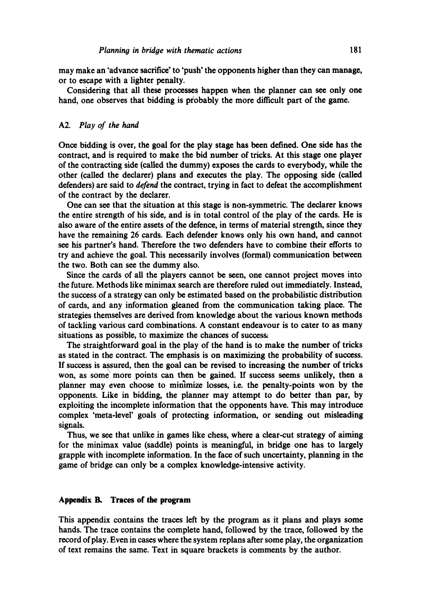may make an 'advance sacrifice' to 'push' the opponents higher than they can manage, or to escape with a lighter penalty.

Considering that all these processes happen when the planner can see only one hand, one observes that bidding is probably the more difficult part of the game.

## A2. *Play of the hand*

Once bidding is over, the goal for the play stage has been defined. One side has the contract, and is required to make the bid number of tricks. At this stage one player of the contracting side (called the dummy) exposes the cards to everybody, while the other (called the declarer) plans and executes the play. The opposing side (called defenders) are said to *defend* the contract, trying in fact to defeat the accomplishment of the contract by the declarer.

One can see that the situation at this stage is non-symmetric. The declarer knows the entire strength of his side, and is in total control of the play of the cards. He is also aware of the entire assets of the defence, in terms of material strength, since they have the remaining 26 cards. Each defender knows only his own hand, and cannot see his partner's hand. Therefore the two defenders have to combine their efforts to try and achieve the goal. This necessarily involves (formal) communication between the two. Both can see the dummy also.

Since the cards of all the players cannot be seen, one cannot project moves into the future. Methods like minimax search are therefore ruled out immediately. Instead, the success of a strategy can only be estimated based on the probabilistic distribution of cards, and any information gleaned from the communication taking place. The strategies themselves are derived from knowledge about the various known methods of tackling various card combinations. A constant endeavour is to cater to as many situations as possible, to maximize the chances of success.

The straightforward goal in the play of the hand is to make the number of tricks as stated in the contract. The emphasis is on maximizing the probability of success. If success is assured, then the goal can be revised to increasing the number of tricks won, as some' more points can then be gained. If success seems unlikely, then a planner may even choose to minimize losses, i.e. the penalty-points won by the opponents. Like in bidding, the planner may attempt to do better than par, by exploiting the incomplete information that the opponents have. This may introduce complex 'meta-level' goals of protecting information, or sending out misleading signals.

Thus, we see that unlike in games like chess, where a clear-cut strategy of aiming for the minimax value (saddle) points is meaningful, in bridge one has to largely grapple with incomplete information. In the face of such uncertainty, planning in the game of bridge can only be a complex knowledge-intensive activity.

#### **Appendix EL Traces of the program**

This appendix contains the traces left by the program as it plans and plays some hands. The trace contains the complete hand, followed by the trace, followed by the record of play. Even in cases where the system replans after some play, the organization of text remains the same. Text in square brackets is comments by the author.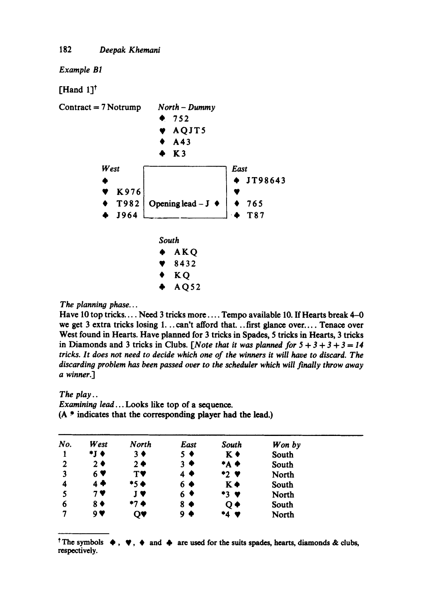# *Example BI*

# $[Hand 1]$ <sup>t</sup>



# *The plannino phase...*

Have 10 top tricks.... Need 3 tricks more .... Tempo available 10. If Hearts break 4-0 we get 3 extra tricks losing 1... can't afford that... first glance over.... Tenace over West found in Hearts. Have planned for 3 tricks in Spades, 5 tricks in Hearts, 3 tricks in Diamonds and 3 tricks in Clubs. *[Note that it was planned for*  $5 + 3 + 3 + 3 = 14$ *tricks. It does not need to decide which one of the winners it will have to discard. The discarding problem has been passed over to the scheduler which will finally throw away a winner.]* 

# *The play..*

*Examinino lead...* Looks like top of a sequence.  $(A^*$  indicates that the corresponding player had the lead.)

| No.         | West              | North                  | East          | South                  | Won by |  |
|-------------|-------------------|------------------------|---------------|------------------------|--------|--|
|             | $\mathbf{H}$      | $3 \bullet$            | $5^{\circ}$   | $\mathbf{K}$ $\bullet$ | South  |  |
| $\mathbf 2$ | $2 \blacklozenge$ | $2 \triangleleft$      | $3 \bullet$   | *A *                   | South  |  |
| 3           | $6$ V             | <b>TV</b>              | $4$ $\bullet$ | *2 ♥                   | North  |  |
| 4           | $4 +$             | $*5$ $\bullet$         | $6^{\circ}$   | $K \triangleleft$      | South  |  |
| 5           | $7$ Y             | $1 \blacktriangledown$ | 6 ♦           | *3 ♥                   | North  |  |
| 6           | $8$ $\bullet$     | $*7$ $*$               | $8^{\circ}$   | $Q \bullet$            | South  |  |
| 7           | 9 V               | QV                     | 9 ♠           | 44                     | North  |  |

The symbols  $\blacklozenge$ ,  $\blacklozenge$ ,  $\blacklozenge$  and  $\blacklozenge$  are used for the suits spades, hearts, diamonds & clubs, respectively.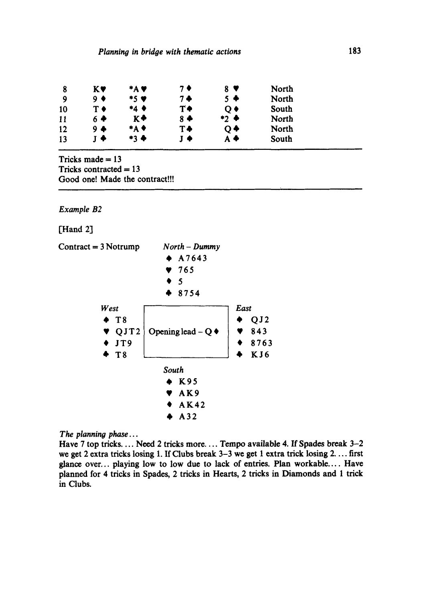| 8  | K٧            | $^*A$ Y               | 7♦    | 8 ♥               | North |  |
|----|---------------|-----------------------|-------|-------------------|-------|--|
| 9  | $9$ $\bullet$ | $*$ 5 $\bullet$       | 7♦    | $5 +$             | North |  |
| 10 | T ♦           | $*4$ $\bullet$        | T♦    | $Q \bullet$       | South |  |
| 11 | 6 ♦           | <b>K</b> <sup>↓</sup> | $8 +$ | $*_{2}$ $*$       | North |  |
| 12 | $9 +$         | AA                    | T+    | $Q \triangleleft$ | North |  |
| 13 | J ♠           | $*3 +$                | J ♦   | A O               | South |  |
|    |               |                       |       |                   |       |  |

Tricks made  $= 13$ Tricks contracted  $= 13$ Good one! Made the contract!!!

# *Example B2*

[Hand 2]



*The planning phase...* 

Have 7 top tricks.... Need 2 tricks more.... Tempo available 4. If Spades break 3-2 we get 2 extra tricks losing 1. If Clubs break 3-3 we get 1 extra trick losing 2. ... first glance over... playing low to low due to lack of entries. Plan workable.... Have planned for 4 tricks in Spades, 2 tricks in Hearts, 2 tricks in Diamonds and 1 trick in Clubs.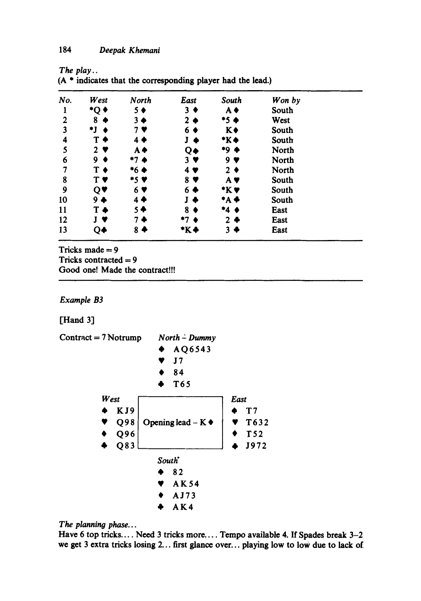| No. | West                     | North          | East                     | South                    | Won by |  |
|-----|--------------------------|----------------|--------------------------|--------------------------|--------|--|
|     | $*_{Q}$                  | $5^{\circ}$    | $3 \bullet$              | $A \bullet$              | South  |  |
| 2   | 8                        | $3 \spadesuit$ | 2 ♠                      | $*5 +$                   | West   |  |
| 3   | $\mathbf{I}$             | $7$ Y          | $6 \bullet$              | K <sub>0</sub>           | South  |  |
| 4   | T♦                       | 4 ♦            | J $\bullet$              | *K +                     | South  |  |
| 5   | $2$ $\blacktriangledown$ | A♠             | Q♠                       | *9 ♠                     | North  |  |
| 6   | $9\bullet$               | 74             | 3 <sub>2</sub>           | $9$ $\blacktriangledown$ | North  |  |
| 7   | $T \bullet$              | *6 ♦           | $4$ $\blacktriangledown$ | $2 \bullet$              | North  |  |
| 8   | T Y                      | *5 V           | $8$ V                    | A V                      | South  |  |
| 9   | QV                       | 6 V            | $6 +$                    | <b>*K v</b>              | South  |  |
| 10  | $9 +$                    | 4♦             | $J \triangleq$           | *A +                     | South  |  |
| 11  | T ♦                      | 54             | $8^{\circ}$              | *4 $\bullet$             | East   |  |
| 12  |                          | 7 ♣            | $*7.$                    | $2 \bullet$              | East   |  |
| 13  | Q÷                       | 8 ♠            | *K*                      | 3 ♦                      | East   |  |

*The play..*  (A \* indicates that the corresponding player had the lead.)

Tricks made  $= 9$ Tricks contracted  $= 9$ Good one! Made the contract!!!

# *Example B3*

[Hand 3]

Contract = 7 Notrump *North -: Dummy*   $4 AQ6543$ **V** J7 **•** 84 • T65 *West East*   $\triangle$  K J 9 **•** T7 Q98 Opening lead  $- K \blacklozenge$ ♥ T632 • Q96  $\bullet$  T52 **•** Q83 4, J972 *South"*  **•** 82 AK54 • A J73 AK4

*The planning phase...* 

Have 6 top tricks.... Need 3 tricks more.... Tempo available 4. If Spades break 3-2 we get 3 extra tricks losing 2... first glance over.., playing low to low due to lack of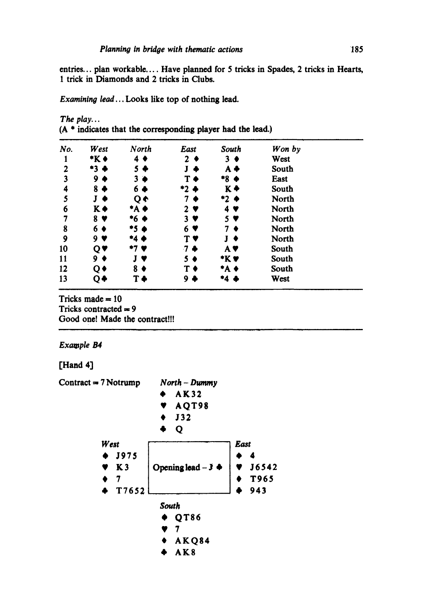entries... plan workable.... Have planned for 5 tricks in Spades, 2 tricks in Hearts, 1 trick in Diamonds and 2 tricks in Clubs.

*Examinino lead...* Looks like top of nothing lead.

*The play...*  (A \* indicates that the corresponding player had the lead.)

| No. | West          | North          | East           | South        | Won by |  |
|-----|---------------|----------------|----------------|--------------|--------|--|
|     | *K ♦          | 4 ♦            | 2 ♦            | $3 \bullet$  | West   |  |
| 2   | *3 +          | 5 ♣            | $J \triangleq$ | A O          | South  |  |
| 3   | $9 +$         | 3 ♦            | $T \bullet$    | *8 $\bullet$ | East   |  |
| 4   | 8 ♣           | 6 ♣            | *2 +           | K ♦          | South  |  |
| 5   | J ♦           | Q↑             | $7^{\circ}$    | *2 ♦         | North  |  |
| 6   | $K$ $\bullet$ | *A +           | $2 \bullet$    | 4 V          | North  |  |
| 7   | 8 V           | *6 $\bullet$   | 3 V            | 5 V          | North  |  |
| 8   | 6 ♦           | $*5$ $\bullet$ | 6 V            | $7^{\circ}$  | North  |  |
| 9   | 9 ♥           | *4 *           | <b>TV</b>      | 1 ♦          | North  |  |
| 10  | Q Y           | *7 ♥           | $7 +$          | A V          | South  |  |
| 11  | 9♦            | J ♥            | $5^{\circ}$    | *K Y         | South  |  |
| 12  | Q♦            | 8 ♦            | T ♦            | *A +         | South  |  |
| 13  | Q O           | T ●            | 9 ♣            | 44           | West   |  |

Tricks made  $= 10$ Tricks contracted  $= 9$ Good one! Made the contract!l!

*Example B4* 

**[:Hand 4]** 

| Contract $= 7$ Notrump | $North-Dummy$                     |       |
|------------------------|-----------------------------------|-------|
|                        | AK32                              |       |
|                        | AQT98                             |       |
|                        | J32                               |       |
|                        | Q                                 |       |
| West                   |                                   | East  |
| <b>J975</b>            |                                   |       |
| K <sub>3</sub>         | Opening lead $-3$ $\blacklozenge$ | J6542 |
| 7                      |                                   | T965  |
| T7652                  |                                   | 943   |
|                        | <b>South</b>                      |       |
|                        | QT86                              |       |
|                        | 7                                 |       |
|                        | AKQ84                             |       |
|                        | AK8                               |       |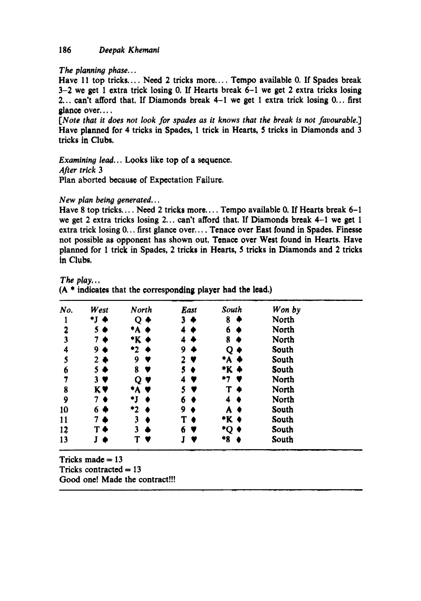*The planning phase...* 

Have 11 top tricks.... Need 2 tricks more.... Tempo available 0. If Spades break 3-2 we get 1 extra trick losing 0. If Hearts break 6-I we get 2 extra tricks losing 2... can't afford that, If Diamonds break 4-1 we get 1 extra trick losing 0... first glance over....

*[Note that it does not look for spades as it knows that the break is not favourable.]*  Have planned for 4 tricks in Spades, 1 trick in Hearts, 5 tricks in Diamonds and 3 tricks in Clubs,

*Examining lead.,.* Looks like top of a sequence. *After trick 3*  Plan aborted because of Expectation Failure.

*New plan being generated...* 

Have 8 top tricks.... Need 2 tricks more.... Tempo available 0. If Hearts break 6-1 we get 2 extra tricks losing 2... can't afford that. If Diamonds break 4-1 we get 1 extra trick losing 0... first glance over .... Tenace over East found in Spades. Finesse not possible as opponent has shown out, Tenace over West found in Hearts. Have planned for 1 trick in Spades, 2 tricks in Hearts, 5 tricks in Diamonds and 2 tricks in Clubs,

*the play,..* 

(A \* indicates that the corresponding player had the lead.)

| No. | West              | <b>North</b> | East           | South         | Won by |  |
|-----|-------------------|--------------|----------------|---------------|--------|--|
|     | $+J$ $+$          | Q ♦          | 3 ♦            | $8$ $\bullet$ | North  |  |
| 2   | 5.<br>$\bullet$   | AA           | 4<br>٠         | 6             | North  |  |
| 3   | 7 ♦               | *K ◆         | $\overline{4}$ | 8             | North  |  |
| 4   | 9.<br>۰           | $^{\ast}2$   | 9<br>4         | Q             | South  |  |
| \$  | $2 \blacklozenge$ | 9            | 2 V            | *A +          | South  |  |
| 6   | 5 ♠               | 8            | 5<br>$\bullet$ | *K +          | South  |  |
|     | 3 ♥               | Q V          | 4              | $^{\ast}7$    | North  |  |
| 8   | K♥                | *A-          | 5              | T ♦           | North  |  |
| 9   | 7 ♦               | *J           | 6              | 4             | North  |  |
| 10  | 6 ♦               | *2           | 9<br>٠         | A O           | South  |  |
| 11  | 7 ♦               | 3            | T              | *K ♦          | South  |  |
| 12  | T ♦               | 3            | 6              | *Q +          | South  |  |
| 13  | J O               |              |                | $*8$          | South  |  |

Tricks made  $= 13$ Tricks contracted  $= 13$ Good one! Made the contract!!!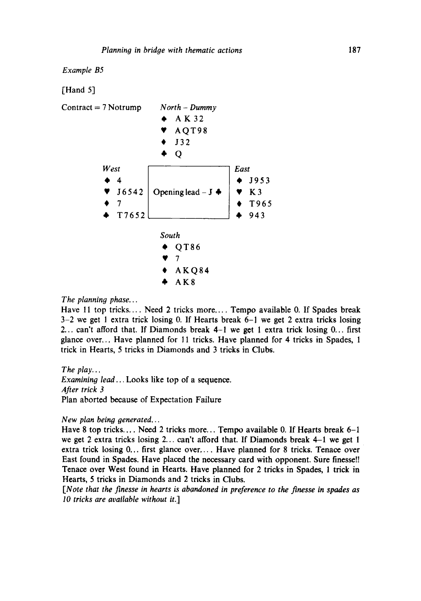# *Example B5*

# [Hand 5]



*The planning phase...* 

Have 11 top tricks.... Need 2 tricks more.... Tempo available 0. If Spades break  $3-2$  we get 1 extra trick losing 0. If Hearts break  $6-1$  we get 2 extra tricks losing 2... can't afford that. If Diamonds break 4-1 we get 1 extra trick losing 0... first glance over... Have planned for 11 tricks. Have planned for 4 tricks in Spades,  $1$ trick in Hearts, 5 tricks in Diamonds and 3 tricks in Clubs.

*The play...* 

*Examining lead...* Looks like top of a sequence. *After trick 3*  Plan aborted because of Expectation Failure

# *New plan being generated...*

Have 8 top tricks.... Need 2 tricks more... Tempo available 0. If Hearts break 6-1 we get 2 extra tricks losing 2... can't afford that. If Diamonds break 4-1 we get 1 extra trick losing 0.,. first glance over .... Have planned for 8 tricks. Tenace over East found in Spades. Have placed the necessary card with opponent. Sure finesse!! Tenace over West found in Hearts. Have planned for 2 tricks in Spades, 1 trick in Hearts, 5 tricks in Diamonds and 2 tricks in Clubs.

*[Note that the finesse in hearts is abandoned in preference to the finesse in spades as 10 tricks are available without it.]*